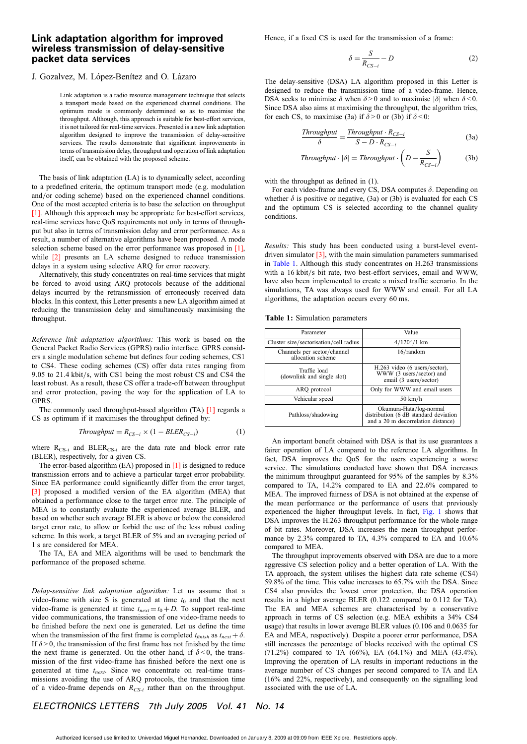## Link adaptation algorithm for improved wireless transmission of delay-sensitive packet data services

## J. Gozalvez, M. López-Benítez and O. Lázaro

Link adaptation is a radio resource management technique that selects a transport mode based on the experienced channel conditions. The optimum mode is commonly determined so as to maximise the throughput. Although, this approach is suitable for best-effort services, it is not tailored for real-time services. Presented is a new link adaptation algorithm designed to improve the transmission of delay-sensitive services. The results demonstrate that significant improvements in terms of transmission delay, throughput and operation of link adaptation itself, can be obtained with the proposed scheme.

The basis of link adaptation (LA) is to dynamically select, according to a predefined criteria, the optimum transport mode (e.g. modulation and/or coding scheme) based on the experienced channel conditions. One of the most accepted criteria is to base the selection on throughput [1]. Although this approach may be appropriate for best-effort services, real-time services have QoS requirements not only in terms of throughput but also in terms of transmission delay and error performance. As a result, a number of alternative algorithms have been proposed. A mode selection scheme based on the error performance was proposed in [1], while  $[2]$  presents an LA scheme designed to reduce transmission delays in a system using selective ARQ for error recovery.

Alternatively, this study concentrates on real-time services that might be forced to avoid using ARQ protocols because of the additional delays incurred by the retransmission of erroneously received data blocks. In this context, this Letter presents a new LA algorithm aimed at reducing the transmission delay and simultaneously maximising the throughput.

Reference link adaptation algorithms: This work is based on the General Packet Radio Services (GPRS) radio interface. GPRS considers a single modulation scheme but defines four coding schemes, CS1 to CS4. These coding schemes (CS) offer data rates ranging from 9.05 to 21.4 kbit/s, with CS1 being the most robust CS and CS4 the least robust. As a result, these CS offer a trade-off between throughput and error protection, paving the way for the application of LA to GPRS.

The commonly used throughput-based algorithm (TA) [1] regards a CS as optimum if it maximises the throughput defined by:

$$
Throughout = R_{CS-i} \times (1 - BLER_{CS-i}) \tag{1}
$$

where  $R_{CS-i}$  and  $BLER_{CS-i}$  are the data rate and block error rate (BLER), respectively, for a given CS.

The error-based algorithm (EA) proposed in [1] is designed to reduce transmission errors and to achieve a particular target error probability. Since EA performance could significantly differ from the error target, [3] proposed a modified version of the EA algorithm (MEA) that obtained a performance close to the target error rate. The principle of MEA is to constantly evaluate the experienced average BLER, and based on whether such average BLER is above or below the considered target error rate, to allow or forbid the use of the less robust coding scheme. In this work, a target BLER of 5% and an averaging period of 1 s are considered for MEA.

The TA, EA and MEA algorithms will be used to benchmark the performance of the proposed scheme.

Delay-sensitive link adaptation algorithm: Let us assume that a video-frame with size S is generated at time  $t_0$  and that the next video-frame is generated at time  $t_{next} = t_0 + D$ . To support real-time video communications, the transmission of one video-frame needs to be finished before the next one is generated. Let us define the time when the transmission of the first frame is completed  $t_{\text{finitely}}$  as  $t_{\text{next}} + \delta$ . If  $\delta$  > 0, the transmission of the first frame has not finished by the time the next frame is generated. On the other hand, if  $\delta$  < 0, the transmission of the first video-frame has finished before the next one is generated at time  $t_{next}$ . Since we concentrate on real-time transmissions avoiding the use of ARQ protocols, the transmission time of a video-frame depends on  $R_{CS-i}$  rather than on the throughput.

Hence, if a fixed CS is used for the transmission of a frame:

$$
\delta = \frac{S}{R_{CS-i}} - D \tag{2}
$$

The delay-sensitive (DSA) LA algorithm proposed in this Letter is designed to reduce the transmission time of a video-frame. Hence, DSA seeks to minimise  $\delta$  when  $\delta > 0$  and to maximise  $|\delta|$  when  $\delta < 0$ . Since DSA also aims at maximising the throughput, the algorithm tries, for each CS, to maximise (3a) if  $\delta > 0$  or (3b) if  $\delta < 0$ :

$$
\frac{Throughout}{\delta} = \frac{Throughout \cdot R_{CS-i}}{S - D \cdot R_{CS-i}} \tag{3a}
$$

$$
Throughout \cdot |\delta| = Throughput \cdot \left(D - \frac{S}{R_{CS-i}}\right) \tag{3b}
$$

with the throughput as defined in  $(1)$ .

For each video-frame and every CS, DSA computes  $\delta$ . Depending on whether  $\delta$  is positive or negative, (3a) or (3b) is evaluated for each CS and the optimum CS is selected according to the channel quality conditions.

Results: This study has been conducted using a burst-level eventdriven simulator [3], with the main simulation parameters summarised in Table 1. Although this study concentrates on H.263 transmissions with a 16 kbit/s bit rate, two best-effort services, email and WWW, have also been implemented to create a mixed traffic scenario. In the simulations, TA was always used for WWW and email. For all LA algorithms, the adaptation occurs every 60 ms.

|  |  |  | <b>Table 1:</b> Simulation parameters |
|--|--|--|---------------------------------------|
|--|--|--|---------------------------------------|

| Parameter                                        | Value                                                                                                  |  |  |
|--------------------------------------------------|--------------------------------------------------------------------------------------------------------|--|--|
| Cluster size/sectorisation/cell radius           | $4/120^{\circ}/1$ km                                                                                   |  |  |
| Channels per sector/channel<br>allocation scheme | 16/random                                                                                              |  |  |
| Traffic load<br>(downlink and single slot)       | H.263 video (6 users/sector),<br>WWW (3 users/sector) and<br>email (3 users/sector)                    |  |  |
| ARO protocol                                     | Only for WWW and email users                                                                           |  |  |
| Vehicular speed                                  | $50 \text{ km/h}$                                                                                      |  |  |
| Pathloss/shadowing                               | Okumura-Hata/log-normal<br>distribution (6 dB standard deviation<br>and a 20 m decorrelation distance) |  |  |

An important benefit obtained with DSA is that its use guarantees a fairer operation of LA compared to the reference LA algorithms. In fact, DSA improves the QoS for the users experiencing a worse service. The simulations conducted have shown that DSA increases the minimum throughput guaranteed for 95% of the samples by 8.3% compared to TA, 14.2% compared to EA and 22.6% compared to MEA. The improved fairness of DSA is not obtained at the expense of the mean performance or the performance of users that previously experienced the higher throughput levels. In fact, Fig. 1 shows that DSA improves the H.263 throughput performance for the whole range of bit rates. Moreover, DSA increases the mean throughput performance by 2.3% compared to TA, 4.3% compared to EA and 10.6% compared to MEA.

The throughput improvements observed with DSA are due to a more aggressive CS selection policy and a better operation of LA. With the TA approach, the system utilises the highest data rate scheme (CS4) 59.8% of the time. This value increases to 65.7% with the DSA. Since CS4 also provides the lowest error protection, the DSA operation results in a higher average BLER (0.122 compared to 0.112 for TA). The EA and MEA schemes are characterised by a conservative approach in terms of CS selection (e.g. MEA exhibits a 34% CS4 usage) that results in lower average BLER values (0.106 and 0.0635 for EA and MEA, respectively). Despite a poorer error performance, DSA still increases the percentage of blocks received with the optimal CS (71.2%) compared to TA (66%), EA (64.1%) and MEA (43.4%). Improving the operation of LA results in important reductions in the average number of CS changes per second compared to TA and EA (16% and 22%, respectively), and consequently on the signalling load associated with the use of LA.

## ELECTRONICS LETTERS 7th July 2005 Vol. 41 No. 14